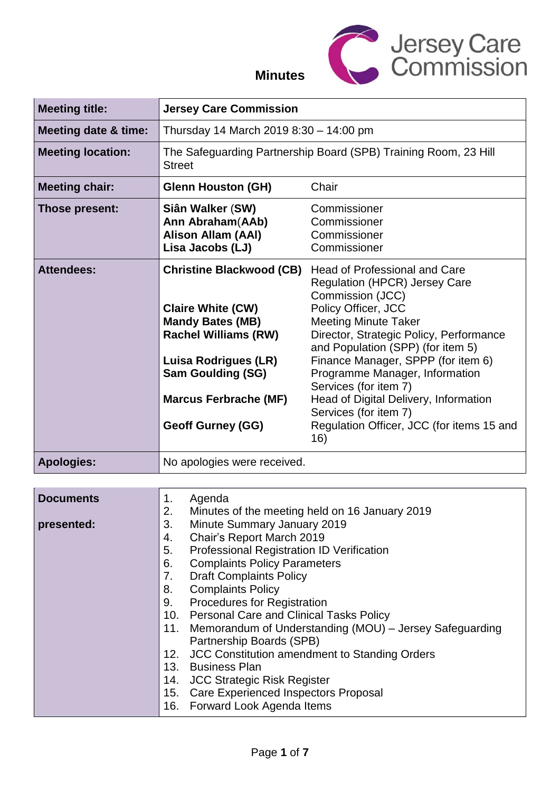

## **Minutes**

| <b>Meeting title:</b>           | <b>Jersey Care Commission</b>                                                                                                                                                                                                                                                                                                                                                                                                                                                                                                                                                                                                                                                                   |  |  |
|---------------------------------|-------------------------------------------------------------------------------------------------------------------------------------------------------------------------------------------------------------------------------------------------------------------------------------------------------------------------------------------------------------------------------------------------------------------------------------------------------------------------------------------------------------------------------------------------------------------------------------------------------------------------------------------------------------------------------------------------|--|--|
| <b>Meeting date &amp; time:</b> | Thursday 14 March 2019 8:30 - 14:00 pm                                                                                                                                                                                                                                                                                                                                                                                                                                                                                                                                                                                                                                                          |  |  |
| <b>Meeting location:</b>        | The Safeguarding Partnership Board (SPB) Training Room, 23 Hill<br><b>Street</b>                                                                                                                                                                                                                                                                                                                                                                                                                                                                                                                                                                                                                |  |  |
| <b>Meeting chair:</b>           | Chair<br><b>Glenn Houston (GH)</b>                                                                                                                                                                                                                                                                                                                                                                                                                                                                                                                                                                                                                                                              |  |  |
| Those present:                  | Siân Walker (SW)<br>Commissioner<br>Ann Abraham(AAb)<br>Commissioner<br>Alison Allam (AAI)<br>Commissioner<br>Lisa Jacobs (LJ)<br>Commissioner                                                                                                                                                                                                                                                                                                                                                                                                                                                                                                                                                  |  |  |
| <b>Attendees:</b>               | <b>Christine Blackwood (CB)</b><br>Head of Professional and Care<br><b>Regulation (HPCR) Jersey Care</b><br>Commission (JCC)<br>Policy Officer, JCC<br><b>Claire White (CW)</b><br><b>Mandy Bates (MB)</b><br><b>Meeting Minute Taker</b><br><b>Rachel Williams (RW)</b><br>Director, Strategic Policy, Performance<br>and Population (SPP) (for item 5)<br>Finance Manager, SPPP (for item 6)<br>Luisa Rodrigues (LR)<br><b>Sam Goulding (SG)</b><br>Programme Manager, Information<br>Services (for item 7)<br><b>Marcus Ferbrache (MF)</b><br>Head of Digital Delivery, Information<br>Services (for item 7)<br>Regulation Officer, JCC (for items 15 and<br><b>Geoff Gurney (GG)</b><br>16) |  |  |
| <b>Apologies:</b>               | No apologies were received.                                                                                                                                                                                                                                                                                                                                                                                                                                                                                                                                                                                                                                                                     |  |  |
|                                 |                                                                                                                                                                                                                                                                                                                                                                                                                                                                                                                                                                                                                                                                                                 |  |  |
| <b>Documents</b><br>presented:  | Agenda<br>1.<br>2.<br>Minutes of the meeting held on 16 January 2019<br>3.<br><b>Minute Summary January 2019</b><br>Chair's Report March 2019<br>4.<br><b>Professional Registration ID Verification</b><br>5.<br><b>Complaints Policy Parameters</b><br>6.<br><b>Draft Complaints Policy</b><br>7.<br><b>Complaints Policy</b><br>8.<br><b>Procedures for Registration</b><br>9.<br><b>Personal Care and Clinical Tasks Policy</b><br>10.<br>Memorandum of Understanding (MOU) - Jersey Safeguarding<br>11.                                                                                                                                                                                     |  |  |

- 13. Business Plan
- 14. JCC Strategic Risk Register
- 15. Care Experienced Inspectors Proposal
- 16. Forward Look Agenda Items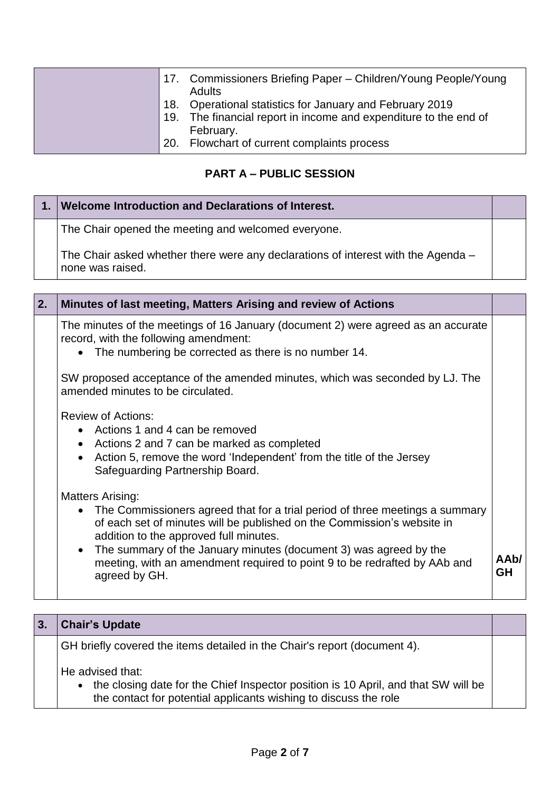|  | 17. Commissioners Briefing Paper - Children/Young People/Young<br><b>Adults</b>                                                           |
|--|-------------------------------------------------------------------------------------------------------------------------------------------|
|  | 18. Operational statistics for January and February 2019<br>19. The financial report in income and expenditure to the end of<br>February. |
|  | 20. Flowchart of current complaints process                                                                                               |

## **PART A – PUBLIC SESSION**

| Welcome Introduction and Declarations of Interest.                                                    |  |
|-------------------------------------------------------------------------------------------------------|--|
| The Chair opened the meeting and welcomed everyone.                                                   |  |
| The Chair asked whether there were any declarations of interest with the Agenda –<br>none was raised. |  |

| 2. | Minutes of last meeting, Matters Arising and review of Actions                                                                                                                                                                                                                                                                                                                                               |            |
|----|--------------------------------------------------------------------------------------------------------------------------------------------------------------------------------------------------------------------------------------------------------------------------------------------------------------------------------------------------------------------------------------------------------------|------------|
|    | The minutes of the meetings of 16 January (document 2) were agreed as an accurate<br>record, with the following amendment:<br>The numbering be corrected as there is no number 14.                                                                                                                                                                                                                           |            |
|    | SW proposed acceptance of the amended minutes, which was seconded by LJ. The<br>amended minutes to be circulated.                                                                                                                                                                                                                                                                                            |            |
|    | <b>Review of Actions:</b><br>• Actions 1 and 4 can be removed<br>• Actions 2 and 7 can be marked as completed<br>• Action 5, remove the word 'Independent' from the title of the Jersey<br>Safeguarding Partnership Board.                                                                                                                                                                                   |            |
|    | <b>Matters Arising:</b><br>The Commissioners agreed that for a trial period of three meetings a summary<br>of each set of minutes will be published on the Commission's website in<br>addition to the approved full minutes.<br>The summary of the January minutes (document 3) was agreed by the<br>$\bullet$<br>meeting, with an amendment required to point 9 to be redrafted by AAb and<br>agreed by GH. | AAb/<br>GH |

| 3. | <b>Chair's Update</b>                                                                                                                                                      |  |
|----|----------------------------------------------------------------------------------------------------------------------------------------------------------------------------|--|
|    | GH briefly covered the items detailed in the Chair's report (document 4).                                                                                                  |  |
|    | He advised that:<br>the closing date for the Chief Inspector position is 10 April, and that SW will be<br>the contact for potential applicants wishing to discuss the role |  |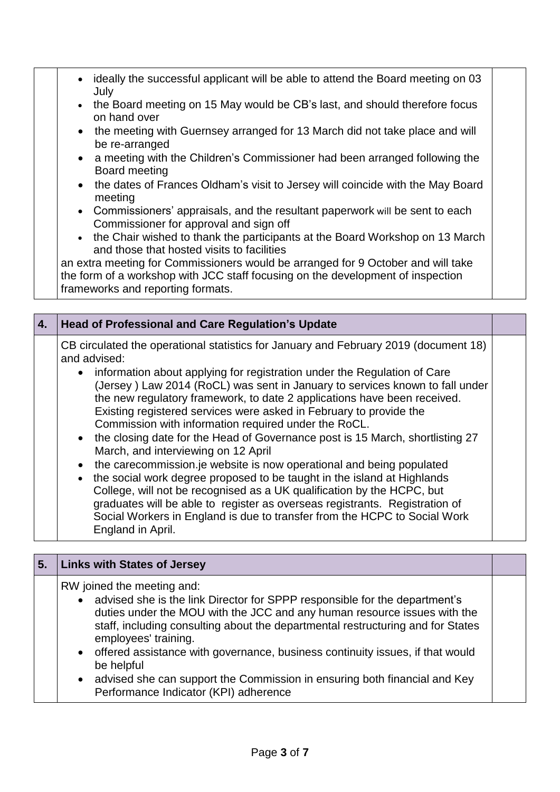- ideally the successful applicant will be able to attend the Board meeting on 03 July
	- the Board meeting on 15 May would be CB's last, and should therefore focus on hand over
	- the meeting with Guernsey arranged for 13 March did not take place and will be re-arranged
	- a meeting with the Children's Commissioner had been arranged following the Board meeting
	- the dates of Frances Oldham's visit to Jersey will coincide with the May Board meeting
	- Commissioners' appraisals, and the resultant paperwork will be sent to each Commissioner for approval and sign off
	- the Chair wished to thank the participants at the Board Workshop on 13 March and those that hosted visits to facilities

an extra meeting for Commissioners would be arranged for 9 October and will take the form of a workshop with JCC staff focusing on the development of inspection frameworks and reporting formats.

| 4. | <b>Head of Professional and Care Regulation's Update</b>                                                                                                                                                                                                                                                                                                                                                                                                                                                                                                                                                                                                                                                                                                                                                                                                                                                                                                                                                             |  |
|----|----------------------------------------------------------------------------------------------------------------------------------------------------------------------------------------------------------------------------------------------------------------------------------------------------------------------------------------------------------------------------------------------------------------------------------------------------------------------------------------------------------------------------------------------------------------------------------------------------------------------------------------------------------------------------------------------------------------------------------------------------------------------------------------------------------------------------------------------------------------------------------------------------------------------------------------------------------------------------------------------------------------------|--|
|    | CB circulated the operational statistics for January and February 2019 (document 18)<br>and advised:<br>• information about applying for registration under the Regulation of Care<br>(Jersey) Law 2014 (RoCL) was sent in January to services known to fall under<br>the new regulatory framework, to date 2 applications have been received.<br>Existing registered services were asked in February to provide the<br>Commission with information required under the RoCL.<br>• the closing date for the Head of Governance post is 15 March, shortlisting 27<br>March, and interviewing on 12 April<br>the carecommission.je website is now operational and being populated<br>the social work degree proposed to be taught in the island at Highlands<br>College, will not be recognised as a UK qualification by the HCPC, but<br>graduates will be able to register as overseas registrants. Registration of<br>Social Workers in England is due to transfer from the HCPC to Social Work<br>England in April. |  |

| 5. | <b>Links with States of Jersey</b>                                                                                                                                                                                                                                                                                                                                                                                                                                                |  |
|----|-----------------------------------------------------------------------------------------------------------------------------------------------------------------------------------------------------------------------------------------------------------------------------------------------------------------------------------------------------------------------------------------------------------------------------------------------------------------------------------|--|
|    | RW joined the meeting and:<br>• advised she is the link Director for SPPP responsible for the department's<br>duties under the MOU with the JCC and any human resource issues with the<br>staff, including consulting about the departmental restructuring and for States<br>employees' training.<br>• offered assistance with governance, business continuity issues, if that would<br>be helpful<br>• advised she can support the Commission in ensuring both financial and Key |  |
|    | Performance Indicator (KPI) adherence                                                                                                                                                                                                                                                                                                                                                                                                                                             |  |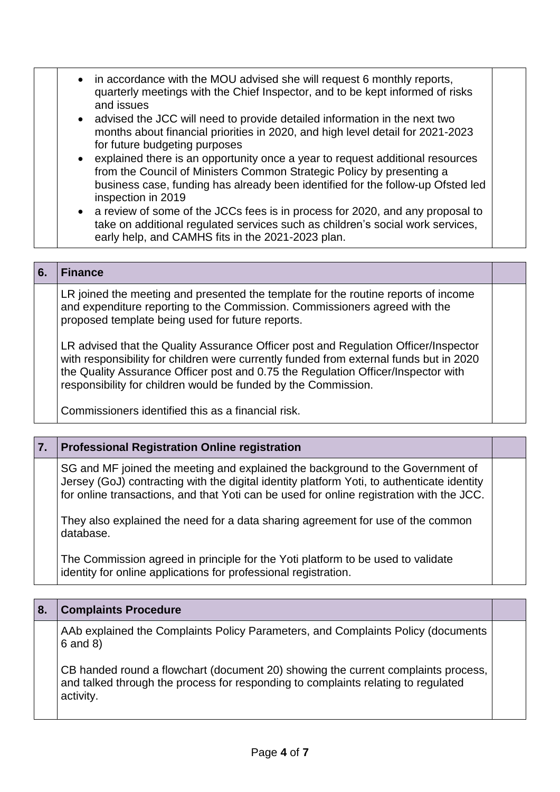| • in accordance with the MOU advised she will request 6 monthly reports,<br>quarterly meetings with the Chief Inspector, and to be kept informed of risks<br>and issues<br>• advised the JCC will need to provide detailed information in the next two<br>months about financial priorities in 2020, and high level detail for 2021-2023<br>for future budgeting purposes<br>• explained there is an opportunity once a year to request additional resources<br>from the Council of Ministers Common Strategic Policy by presenting a<br>business case, funding has already been identified for the follow-up Ofsted led<br>inspection in 2019<br>• a review of some of the JCCs fees is in process for 2020, and any proposal to<br>take on additional regulated services such as children's social work services,<br>early help, and CAMHS fits in the 2021-2023 plan. |
|--------------------------------------------------------------------------------------------------------------------------------------------------------------------------------------------------------------------------------------------------------------------------------------------------------------------------------------------------------------------------------------------------------------------------------------------------------------------------------------------------------------------------------------------------------------------------------------------------------------------------------------------------------------------------------------------------------------------------------------------------------------------------------------------------------------------------------------------------------------------------|
|--------------------------------------------------------------------------------------------------------------------------------------------------------------------------------------------------------------------------------------------------------------------------------------------------------------------------------------------------------------------------------------------------------------------------------------------------------------------------------------------------------------------------------------------------------------------------------------------------------------------------------------------------------------------------------------------------------------------------------------------------------------------------------------------------------------------------------------------------------------------------|

#### **6. Finance**

LR joined the meeting and presented the template for the routine reports of income and expenditure reporting to the Commission. Commissioners agreed with the proposed template being used for future reports.

LR advised that the Quality Assurance Officer post and Regulation Officer/Inspector with responsibility for children were currently funded from external funds but in 2020 the Quality Assurance Officer post and 0.75 the Regulation Officer/Inspector with responsibility for children would be funded by the Commission.

Commissioners identified this as a financial risk.

#### **7. Professional Registration Online registration**

SG and MF joined the meeting and explained the background to the Government of Jersey (GoJ) contracting with the digital identity platform Yoti, to authenticate identity for online transactions, and that Yoti can be used for online registration with the JCC.

They also explained the need for a data sharing agreement for use of the common database.

The Commission agreed in principle for the Yoti platform to be used to validate identity for online applications for professional registration.

| 8. | <b>Complaints Procedure</b>                                                                                                                                                         |  |
|----|-------------------------------------------------------------------------------------------------------------------------------------------------------------------------------------|--|
|    | AAb explained the Complaints Policy Parameters, and Complaints Policy (documents<br>$6$ and $8$ )                                                                                   |  |
|    | CB handed round a flowchart (document 20) showing the current complaints process,<br>and talked through the process for responding to complaints relating to regulated<br>activity. |  |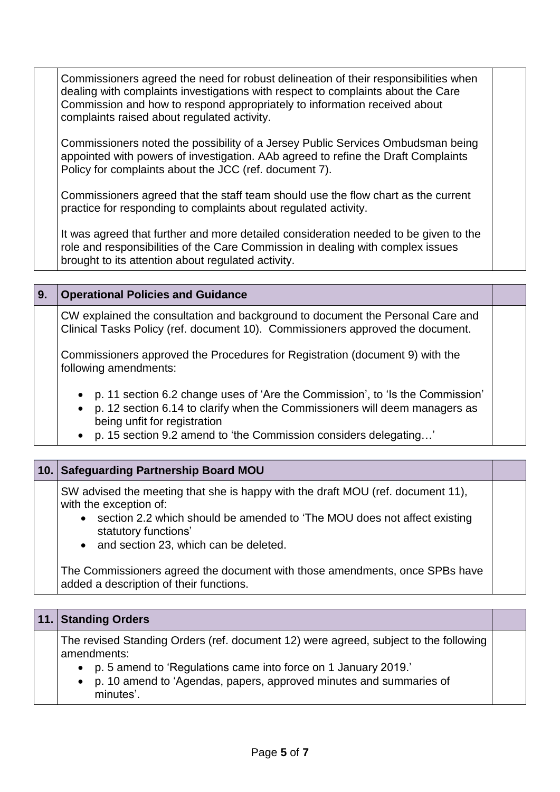Commissioners agreed the need for robust delineation of their responsibilities when dealing with complaints investigations with respect to complaints about the Care Commission and how to respond appropriately to information received about complaints raised about regulated activity.

Commissioners noted the possibility of a Jersey Public Services Ombudsman being appointed with powers of investigation. AAb agreed to refine the Draft Complaints Policy for complaints about the JCC (ref. document 7).

Commissioners agreed that the staff team should use the flow chart as the current practice for responding to complaints about regulated activity.

It was agreed that further and more detailed consideration needed to be given to the role and responsibilities of the Care Commission in dealing with complex issues brought to its attention about regulated activity.

#### **9. Operational Policies and Guidance**

CW explained the consultation and background to document the Personal Care and Clinical Tasks Policy (ref. document 10). Commissioners approved the document.

Commissioners approved the Procedures for Registration (document 9) with the following amendments:

- p. 11 section 6.2 change uses of 'Are the Commission', to 'Is the Commission'
- p. 12 section 6.14 to clarify when the Commissioners will deem managers as being unfit for registration
- p. 15 section 9.2 amend to 'the Commission considers delegating…'

#### **10. Safeguarding Partnership Board MOU**

SW advised the meeting that she is happy with the draft MOU (ref. document 11), with the exception of:

- section 2.2 which should be amended to 'The MOU does not affect existing statutory functions'
- and section 23, which can be deleted.

The Commissioners agreed the document with those amendments, once SPBs have added a description of their functions.

#### **11. Standing Orders**

The revised Standing Orders (ref. document 12) were agreed, subject to the following amendments:

- p. 5 amend to 'Regulations came into force on 1 January 2019.'
- p. 10 amend to 'Agendas, papers, approved minutes and summaries of minutes'.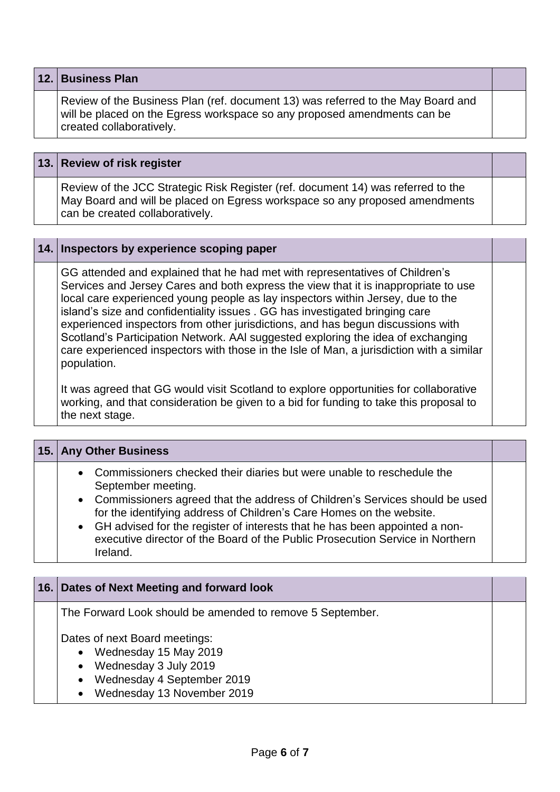|  | 12. Business Plan |
|--|-------------------|
|--|-------------------|

Review of the Business Plan (ref. document 13) was referred to the May Board and will be placed on the Egress workspace so any proposed amendments can be created collaboratively.

#### **13. Review of risk register**

Review of the JCC Strategic Risk Register (ref. document 14) was referred to the May Board and will be placed on Egress workspace so any proposed amendments can be created collaboratively.

#### **14. Inspectors by experience scoping paper**

GG attended and explained that he had met with representatives of Children's Services and Jersey Cares and both express the view that it is inappropriate to use local care experienced young people as lay inspectors within Jersey, due to the island's size and confidentiality issues . GG has investigated bringing care experienced inspectors from other jurisdictions, and has begun discussions with Scotland's Participation Network. AAl suggested exploring the idea of exchanging care experienced inspectors with those in the Isle of Man, a jurisdiction with a similar population.

It was agreed that GG would visit Scotland to explore opportunities for collaborative working, and that consideration be given to a bid for funding to take this proposal to the next stage.

| 15. Any Other Business                                                                                                                                                                                                                                                                                                                                                                                                              |  |
|-------------------------------------------------------------------------------------------------------------------------------------------------------------------------------------------------------------------------------------------------------------------------------------------------------------------------------------------------------------------------------------------------------------------------------------|--|
| • Commissioners checked their diaries but were unable to reschedule the<br>September meeting.<br>• Commissioners agreed that the address of Children's Services should be used<br>for the identifying address of Children's Care Homes on the website.<br>• GH advised for the register of interests that he has been appointed a non-<br>executive director of the Board of the Public Prosecution Service in Northern<br>Ireland. |  |

#### **16. Dates of Next Meeting and forward look**

The Forward Look should be amended to remove 5 September.

Dates of next Board meetings:

- Wednesday 15 May 2019
- Wednesday 3 July 2019
- Wednesday 4 September 2019
- Wednesday 13 November 2019